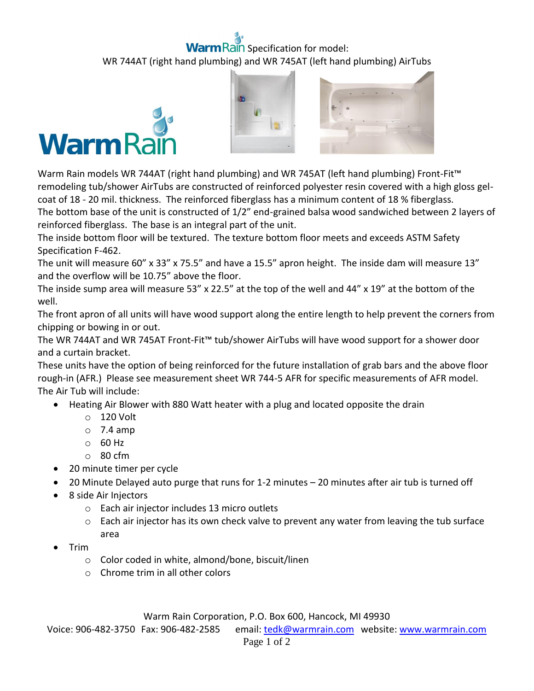## ain Specification for model: WR 744AT (right hand plumbing) and WR 745AT (left hand plumbing) AirTubs







Warm Rain models WR 744AT (right hand plumbing) and WR 745AT (left hand plumbing) Front-Fit™ remodeling tub/shower AirTubs are constructed of reinforced polyester resin covered with a high gloss gelcoat of 18 - 20 mil. thickness. The reinforced fiberglass has a minimum content of 18 % fiberglass. The bottom base of the unit is constructed of 1/2" end-grained balsa wood sandwiched between 2 layers of reinforced fiberglass. The base is an integral part of the unit.

The inside bottom floor will be textured. The texture bottom floor meets and exceeds ASTM Safety Specification F-462.

The unit will measure 60" x 33" x 75.5" and have a 15.5" apron height. The inside dam will measure 13" and the overflow will be 10.75" above the floor.

The inside sump area will measure 53" x 22.5" at the top of the well and 44" x 19" at the bottom of the well.

The front apron of all units will have wood support along the entire length to help prevent the corners from chipping or bowing in or out.

The WR 744AT and WR 745AT Front-Fit™ tub/shower AirTubs will have wood support for a shower door and a curtain bracket.

These units have the option of being reinforced for the future installation of grab bars and the above floor rough-in (AFR.) Please see measurement sheet WR 744-5 AFR for specific measurements of AFR model. The Air Tub will include:

- Heating Air Blower with 880 Watt heater with a plug and located opposite the drain
	- o 120 Volt
	- $\circ$  7.4 amp
	- o 60 Hz
	- o 80 cfm
- 20 minute timer per cycle
- 20 Minute Delayed auto purge that runs for 1-2 minutes 20 minutes after air tub is turned off
- 8 side Air Injectors
	- o Each air injector includes 13 micro outlets
	- $\circ$  Each air injector has its own check valve to prevent any water from leaving the tub surface area
- Trim
	- o Color coded in white, almond/bone, biscuit/linen
	- o Chrome trim in all other colors

Warm Rain Corporation, P.O. Box 600, Hancock, MI 49930

Voice: 906-482-3750 Fax: 906-482-2585 email[: tedk@warmrain.com](mailto:tedk@warmrain.com) website: [www.warmrain.com](http://www.warmrain.com/)